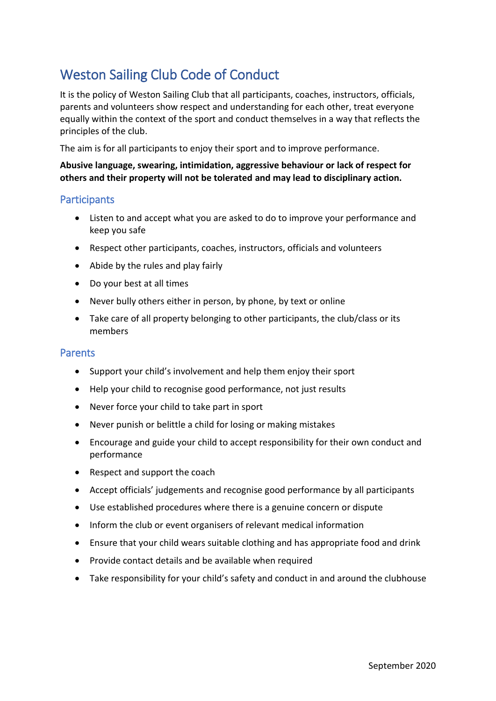# Weston Sailing Club Code of Conduct

It is the policy of Weston Sailing Club that all participants, coaches, instructors, officials, parents and volunteers show respect and understanding for each other, treat everyone equally within the context of the sport and conduct themselves in a way that reflects the principles of the club.

The aim is for all participants to enjoy their sport and to improve performance.

### **Abusive language, swearing, intimidation, aggressive behaviour or lack of respect for others and their property will not be tolerated and may lead to disciplinary action.**

## **Participants**

- Listen to and accept what you are asked to do to improve your performance and keep you safe
- Respect other participants, coaches, instructors, officials and volunteers
- Abide by the rules and play fairly
- Do your best at all times
- Never bully others either in person, by phone, by text or online
- Take care of all property belonging to other participants, the club/class or its members

#### Parents

- Support your child's involvement and help them enjoy their sport
- Help your child to recognise good performance, not just results
- Never force your child to take part in sport
- Never punish or belittle a child for losing or making mistakes
- Encourage and guide your child to accept responsibility for their own conduct and performance
- Respect and support the coach
- Accept officials' judgements and recognise good performance by all participants
- Use established procedures where there is a genuine concern or dispute
- Inform the club or event organisers of relevant medical information
- Ensure that your child wears suitable clothing and has appropriate food and drink
- Provide contact details and be available when required
- Take responsibility for your child's safety and conduct in and around the clubhouse